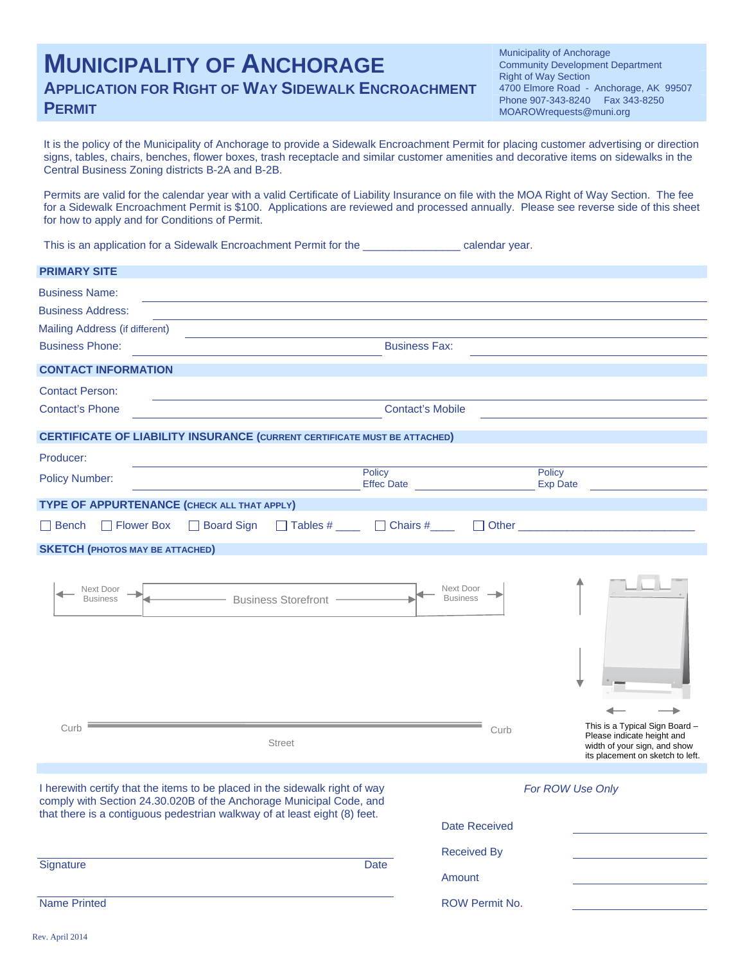# **MUNICIPALITY OF ANCHORAGE APPLICATION FOR RIGHT OF WAY SIDEWALK ENCROACHMENT PERMIT** MOAROWrequests@muni.org

Municipality of Anchorage Community Development Department Right of Way Section 4700 Elmore Road - Anchorage, AK 99507 Phone 907-343-8240 Fax 343-8250

It is the policy of the Municipality of Anchorage to provide a Sidewalk Encroachment Permit for placing customer advertising or direction signs, tables, chairs, benches, flower boxes, trash receptacle and similar customer amenities and decorative items on sidewalks in the Central Business Zoning districts B-2A and B-2B.

Permits are valid for the calendar year with a valid Certificate of Liability Insurance on file with the MOA Right of Way Section. The fee for a Sidewalk Encroachment Permit is \$100. Applications are reviewed and processed annually. Please see reverse side of this sheet for how to apply and for Conditions of Permit.

This is an application for a Sidewalk Encroachment Permit for the \_\_\_\_\_\_\_\_\_\_\_\_\_\_\_\_ calendar year.

| <b>PRIMARY SITE</b>                                                                                                                                                                                                             |                                            |                                                                                                                                                                                                                                     |
|---------------------------------------------------------------------------------------------------------------------------------------------------------------------------------------------------------------------------------|--------------------------------------------|-------------------------------------------------------------------------------------------------------------------------------------------------------------------------------------------------------------------------------------|
| <b>Business Name:</b>                                                                                                                                                                                                           |                                            |                                                                                                                                                                                                                                     |
| <b>Business Address:</b>                                                                                                                                                                                                        |                                            |                                                                                                                                                                                                                                     |
| Mailing Address (if different)                                                                                                                                                                                                  |                                            |                                                                                                                                                                                                                                     |
| <b>Business Phone:</b>                                                                                                                                                                                                          | <b>Business Fax:</b>                       |                                                                                                                                                                                                                                     |
| <b>CONTACT INFORMATION</b>                                                                                                                                                                                                      |                                            |                                                                                                                                                                                                                                     |
| <b>Contact Person:</b>                                                                                                                                                                                                          |                                            |                                                                                                                                                                                                                                     |
| <b>Contact's Phone</b>                                                                                                                                                                                                          | <b>Contact's Mobile</b>                    |                                                                                                                                                                                                                                     |
| <b>CERTIFICATE OF LIABILITY INSURANCE (CURRENT CERTIFICATE MUST BE ATTACHED)</b>                                                                                                                                                |                                            |                                                                                                                                                                                                                                     |
| Producer:                                                                                                                                                                                                                       |                                            |                                                                                                                                                                                                                                     |
| Policy<br><b>Policy Number:</b>                                                                                                                                                                                                 | Effec Date                                 | Policy<br><b>Exp Date</b>                                                                                                                                                                                                           |
| TYPE OF APPURTENANCE (CHECK ALL THAT APPLY)                                                                                                                                                                                     |                                            |                                                                                                                                                                                                                                     |
| $\Box$ Tables # $\Box$ Chairs # $\Box$<br>□ Flower Box<br>□ Board Sign<br>$\Box$ Bench                                                                                                                                          | $\perp$                                    | Other <b>Community</b> Charles and Charles Charles and Charles Charles and Charles Charles Charles and Charles Charles Charles Charles Charles Charles Charles Charles Charles Charles Charles Charles Charles Charles Charles Char |
| <b>SKETCH (PHOTOS MAY BE ATTACHED)</b>                                                                                                                                                                                          |                                            |                                                                                                                                                                                                                                     |
| Next Door<br>- Business Storefront<br><b>Business</b><br>Curb                                                                                                                                                                   | Next Door<br><b>Business</b>               | This is a Typical Sign Board -                                                                                                                                                                                                      |
| <b>Street</b>                                                                                                                                                                                                                   | Curb                                       | Please indicate height and<br>width of your sign, and show<br>its placement on sketch to left.                                                                                                                                      |
| I herewith certify that the items to be placed in the sidewalk right of way<br>comply with Section 24.30.020B of the Anchorage Municipal Code, and<br>that there is a contiguous pedestrian walkway of at least eight (8) feet. | <b>Date Received</b><br><b>Received By</b> | For ROW Use Only                                                                                                                                                                                                                    |
| Signature<br>Date                                                                                                                                                                                                               | Amount                                     |                                                                                                                                                                                                                                     |
| <b>Name Printed</b>                                                                                                                                                                                                             | ROW Permit No.                             |                                                                                                                                                                                                                                     |